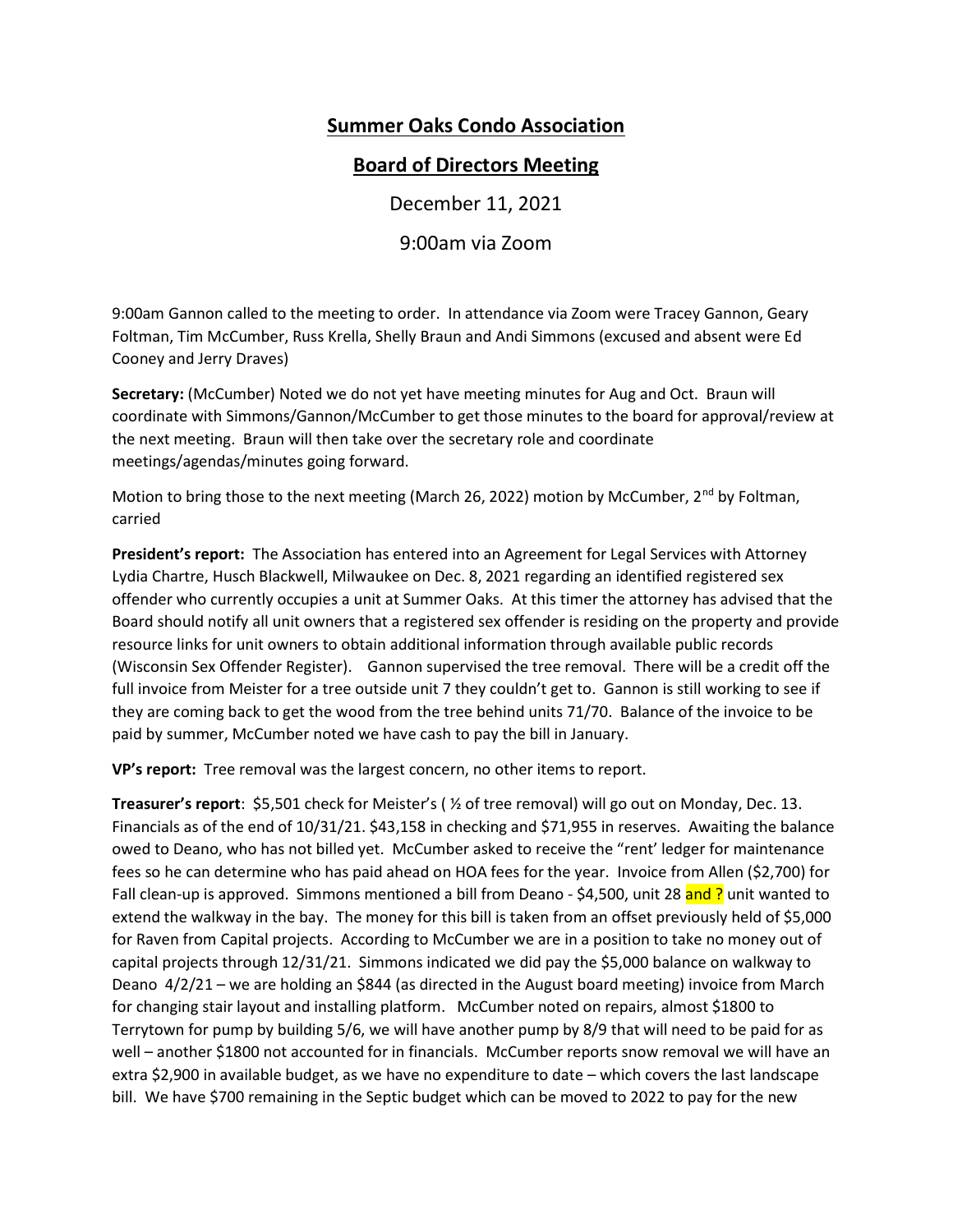# Summer Oaks Condo Association

## Board of Directors Meeting

December 11, 2021

9:00am via Zoom

9:00am Gannon called to the meeting to order. In attendance via Zoom were Tracey Gannon, Geary Foltman, Tim McCumber, Russ Krella, Shelly Braun and Andi Simmons (excused and absent were Ed Cooney and Jerry Draves)

Secretary: (McCumber) Noted we do not yet have meeting minutes for Aug and Oct. Braun will coordinate with Simmons/Gannon/McCumber to get those minutes to the board for approval/review at the next meeting. Braun will then take over the secretary role and coordinate meetings/agendas/minutes going forward.

Motion to bring those to the next meeting (March 26, 2022) motion by McCumber, 2<sup>nd</sup> by Foltman, carried

President's report: The Association has entered into an Agreement for Legal Services with Attorney Lydia Chartre, Husch Blackwell, Milwaukee on Dec. 8, 2021 regarding an identified registered sex offender who currently occupies a unit at Summer Oaks. At this timer the attorney has advised that the Board should notify all unit owners that a registered sex offender is residing on the property and provide resource links for unit owners to obtain additional information through available public records (Wisconsin Sex Offender Register). Gannon supervised the tree removal. There will be a credit off the full invoice from Meister for a tree outside unit 7 they couldn't get to. Gannon is still working to see if they are coming back to get the wood from the tree behind units 71/70. Balance of the invoice to be paid by summer, McCumber noted we have cash to pay the bill in January.

VP's report: Tree removal was the largest concern, no other items to report.

Treasurer's report: \$5,501 check for Meister's ( ½ of tree removal) will go out on Monday, Dec. 13. Financials as of the end of 10/31/21. \$43,158 in checking and \$71,955 in reserves. Awaiting the balance owed to Deano, who has not billed yet. McCumber asked to receive the "rent' ledger for maintenance fees so he can determine who has paid ahead on HOA fees for the year. Invoice from Allen (\$2,700) for Fall clean-up is approved. Simmons mentioned a bill from Deano - \$4,500, unit 28 and ? unit wanted to extend the walkway in the bay. The money for this bill is taken from an offset previously held of \$5,000 for Raven from Capital projects. According to McCumber we are in a position to take no money out of capital projects through 12/31/21. Simmons indicated we did pay the \$5,000 balance on walkway to Deano 4/2/21 – we are holding an \$844 (as directed in the August board meeting) invoice from March for changing stair layout and installing platform. McCumber noted on repairs, almost \$1800 to Terrytown for pump by building 5/6, we will have another pump by 8/9 that will need to be paid for as well – another \$1800 not accounted for in financials. McCumber reports snow removal we will have an extra \$2,900 in available budget, as we have no expenditure to date – which covers the last landscape bill. We have \$700 remaining in the Septic budget which can be moved to 2022 to pay for the new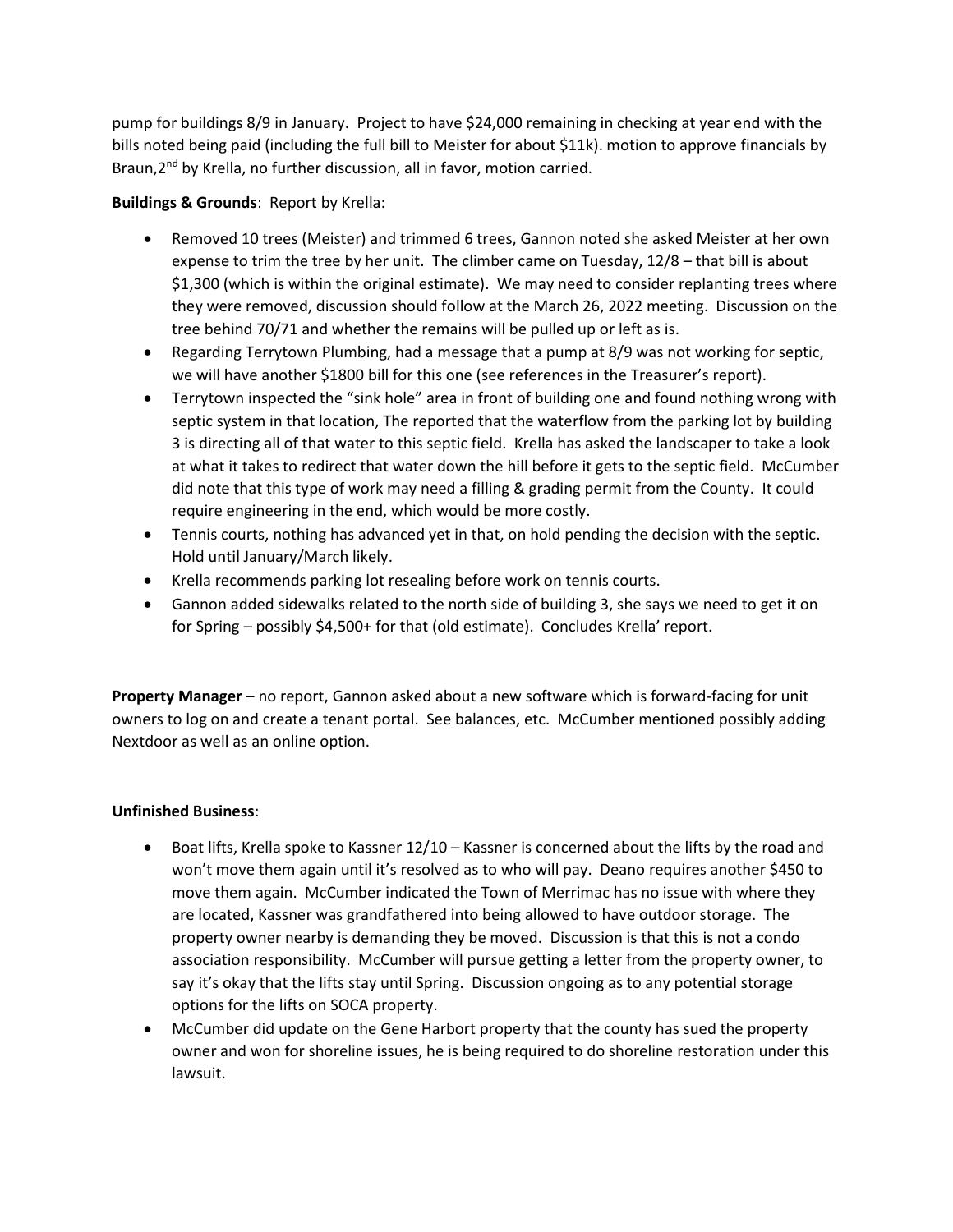pump for buildings 8/9 in January. Project to have \$24,000 remaining in checking at year end with the bills noted being paid (including the full bill to Meister for about \$11k). motion to approve financials by Braun, 2<sup>nd</sup> by Krella, no further discussion, all in favor, motion carried.

### Buildings & Grounds: Report by Krella:

- Removed 10 trees (Meister) and trimmed 6 trees, Gannon noted she asked Meister at her own expense to trim the tree by her unit. The climber came on Tuesday, 12/8 – that bill is about \$1,300 (which is within the original estimate). We may need to consider replanting trees where they were removed, discussion should follow at the March 26, 2022 meeting. Discussion on the tree behind 70/71 and whether the remains will be pulled up or left as is.
- Regarding Terrytown Plumbing, had a message that a pump at 8/9 was not working for septic, we will have another \$1800 bill for this one (see references in the Treasurer's report).
- Terrytown inspected the "sink hole" area in front of building one and found nothing wrong with septic system in that location, The reported that the waterflow from the parking lot by building 3 is directing all of that water to this septic field. Krella has asked the landscaper to take a look at what it takes to redirect that water down the hill before it gets to the septic field. McCumber did note that this type of work may need a filling & grading permit from the County. It could require engineering in the end, which would be more costly.
- Tennis courts, nothing has advanced yet in that, on hold pending the decision with the septic. Hold until January/March likely.
- Krella recommends parking lot resealing before work on tennis courts.
- Gannon added sidewalks related to the north side of building 3, she says we need to get it on for Spring – possibly \$4,500+ for that (old estimate). Concludes Krella' report.

Property Manager – no report, Gannon asked about a new software which is forward-facing for unit owners to log on and create a tenant portal. See balances, etc. McCumber mentioned possibly adding Nextdoor as well as an online option.

#### Unfinished Business:

- Boat lifts, Krella spoke to Kassner 12/10 Kassner is concerned about the lifts by the road and won't move them again until it's resolved as to who will pay. Deano requires another \$450 to move them again. McCumber indicated the Town of Merrimac has no issue with where they are located, Kassner was grandfathered into being allowed to have outdoor storage. The property owner nearby is demanding they be moved. Discussion is that this is not a condo association responsibility. McCumber will pursue getting a letter from the property owner, to say it's okay that the lifts stay until Spring. Discussion ongoing as to any potential storage options for the lifts on SOCA property.
- McCumber did update on the Gene Harbort property that the county has sued the property owner and won for shoreline issues, he is being required to do shoreline restoration under this lawsuit.